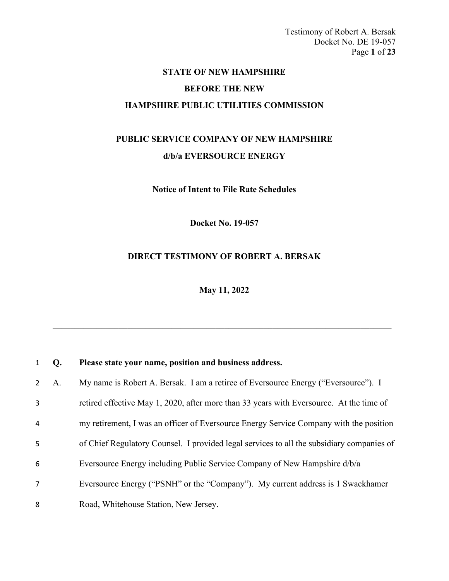Testimony of Robert A. Bersak Docket No. DE 19-057 Page **1** of **23**

# **STATE OF NEW HAMPSHIRE**

### **BEFORE THE NEW**

### **HAMPSHIRE PUBLIC UTILITIES COMMISSION**

## **PUBLIC SERVICE COMPANY OF NEW HAMPSHIRE d/b/a EVERSOURCE ENERGY**

**Notice of Intent to File Rate Schedules**

**Docket No. 19-057**

### **DIRECT TESTIMONY OF ROBERT A. BERSAK**

**May 11, 2022**

| 1              | Q. | Please state your name, position and business address.                                    |
|----------------|----|-------------------------------------------------------------------------------------------|
| $2^{\circ}$    | A. | My name is Robert A. Bersak. I am a retiree of Eversource Energy ("Eversource"). I        |
| 3              |    | retired effective May 1, 2020, after more than 33 years with Eversource. At the time of   |
| 4              |    | my retirement, I was an officer of Eversource Energy Service Company with the position    |
| 5              |    | of Chief Regulatory Counsel. I provided legal services to all the subsidiary companies of |
| 6              |    | Eversource Energy including Public Service Company of New Hampshire d/b/a                 |
| $\overline{7}$ |    | Eversource Energy ("PSNH" or the "Company"). My current address is 1 Swackhamer           |
| 8              |    | Road, Whitehouse Station, New Jersey.                                                     |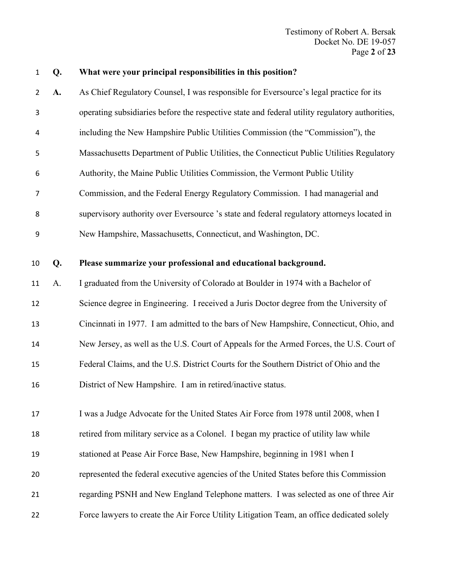Testimony of Robert A. Bersak Docket No. DE 19-057 Page **2** of **23**

|  | What were your principal responsibilities in this position? |  |  |
|--|-------------------------------------------------------------|--|--|
|  |                                                             |  |  |

 **A.** As Chief Regulatory Counsel, I was responsible for Eversource's legal practice for its operating subsidiaries before the respective state and federal utility regulatory authorities, including the New Hampshire Public Utilities Commission (the "Commission"), the Massachusetts Department of Public Utilities, the Connecticut Public Utilities Regulatory Authority, the Maine Public Utilities Commission, the Vermont Public Utility Commission, and the Federal Energy Regulatory Commission. I had managerial and supervisory authority over Eversource 's state and federal regulatory attorneys located in New Hampshire, Massachusetts, Connecticut, and Washington, DC. **Q. Please summarize your professional and educational background.** A. I graduated from the University of Colorado at Boulder in 1974 with a Bachelor of Science degree in Engineering. I received a Juris Doctor degree from the University of Cincinnati in 1977. I am admitted to the bars of New Hampshire, Connecticut, Ohio, and New Jersey, as well as the U.S. Court of Appeals for the Armed Forces, the U.S. Court of Federal Claims, and the U.S. District Courts for the Southern District of Ohio and the

District of New Hampshire. I am in retired/inactive status.

17 I was a Judge Advocate for the United States Air Force from 1978 until 2008, when I retired from military service as a Colonel. I began my practice of utility law while stationed at Pease Air Force Base, New Hampshire, beginning in 1981 when I represented the federal executive agencies of the United States before this Commission regarding PSNH and New England Telephone matters. I was selected as one of three Air Force lawyers to create the Air Force Utility Litigation Team, an office dedicated solely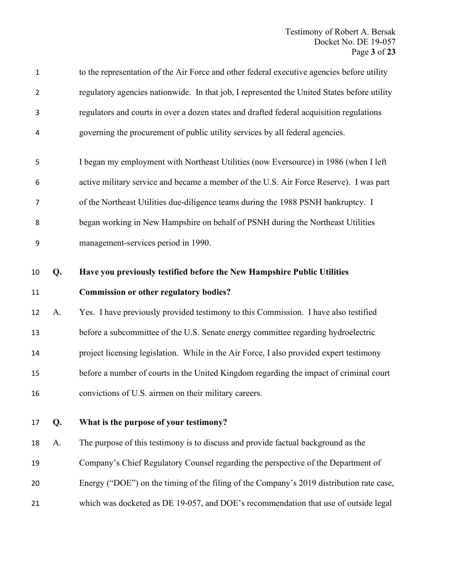| $\mathbf{1}$   |    | to the representation of the Air Force and other federal executive agencies before utility  |
|----------------|----|---------------------------------------------------------------------------------------------|
| $\overline{2}$ |    | regulatory agencies nationwide. In that job, I represented the United States before utility |
| 3              |    | regulators and courts in over a dozen states and drafted federal acquisition regulations    |
| 4              |    | governing the procurement of public utility services by all federal agencies.               |
| 5              |    | I began my employment with Northeast Utilities (now Eversource) in 1986 (when I left        |
| 6              |    | active military service and became a member of the U.S. Air Force Reserve). I was part      |
| 7              |    | of the Northeast Utilities due-diligence teams during the 1988 PSNH bankruptcy. I           |
| 8              |    | began working in New Hampshire on behalf of PSNH during the Northeast Utilities             |
| 9              |    | management-services period in 1990.                                                         |
| 10             | Q. | Have you previously testified before the New Hampshire Public Utilities                     |
| 11             |    | <b>Commission or other regulatory bodies?</b>                                               |
| 12             | A. | Yes. I have previously provided testimony to this Commission. I have also testified         |
| 13             |    |                                                                                             |
|                |    | before a subcommittee of the U.S. Senate energy committee regarding hydroelectric           |
| 14             |    | project licensing legislation. While in the Air Force, I also provided expert testimony     |
| 15             |    | before a number of courts in the United Kingdom regarding the impact of criminal court      |
| 16             |    | convictions of U.S. airmen on their military careers.                                       |
| 17             | Q. | What is the purpose of your testimony?                                                      |
| 18             | A. | The purpose of this testimony is to discuss and provide factual background as the           |
| 19             |    | Company's Chief Regulatory Counsel regarding the perspective of the Department of           |
| 20             |    | Energy ("DOE") on the timing of the filing of the Company's 2019 distribution rate case,    |
| 21             |    | which was docketed as DE 19-057, and DOE's recommendation that use of outside legal         |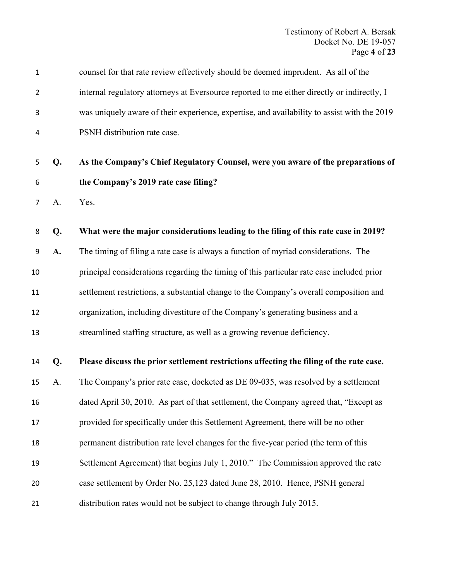| $\mathbf 1$    |    | counsel for that rate review effectively should be deemed imprudent. As all of the          |
|----------------|----|---------------------------------------------------------------------------------------------|
| $\overline{2}$ |    | internal regulatory attorneys at Eversource reported to me either directly or indirectly, I |
| 3              |    | was uniquely aware of their experience, expertise, and availability to assist with the 2019 |
| 4              |    | PSNH distribution rate case.                                                                |
| 5              | Q. | As the Company's Chief Regulatory Counsel, were you aware of the preparations of            |
| 6              |    | the Company's 2019 rate case filing?                                                        |
| 7              | A. | Yes.                                                                                        |
| 8              | Q. | What were the major considerations leading to the filing of this rate case in 2019?         |
| 9              | A. | The timing of filing a rate case is always a function of myriad considerations. The         |
| 10             |    | principal considerations regarding the timing of this particular rate case included prior   |
| 11             |    | settlement restrictions, a substantial change to the Company's overall composition and      |
| 12             |    | organization, including divestiture of the Company's generating business and a              |
| 13             |    | streamlined staffing structure, as well as a growing revenue deficiency.                    |
| 14             | Q. | Please discuss the prior settlement restrictions affecting the filing of the rate case.     |
| 15             | A. | The Company's prior rate case, docketed as DE 09-035, was resolved by a settlement          |
| 16             |    | dated April 30, 2010. As part of that settlement, the Company agreed that, "Except as       |
| 17             |    | provided for specifically under this Settlement Agreement, there will be no other           |
| 18             |    | permanent distribution rate level changes for the five-year period (the term of this        |
| 19             |    | Settlement Agreement) that begins July 1, 2010." The Commission approved the rate           |
| 20             |    | case settlement by Order No. 25,123 dated June 28, 2010. Hence, PSNH general                |
| 21             |    | distribution rates would not be subject to change through July 2015.                        |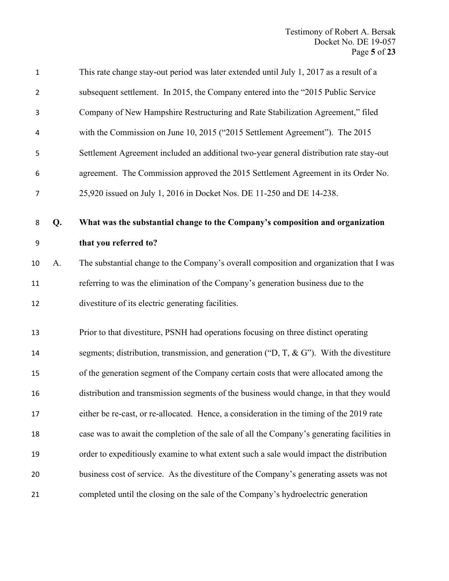| $\mathbf 1$    |    | This rate change stay-out period was later extended until July 1, 2017 as a result of a       |
|----------------|----|-----------------------------------------------------------------------------------------------|
| $\overline{2}$ |    | subsequent settlement. In 2015, the Company entered into the "2015 Public Service"            |
| 3              |    | Company of New Hampshire Restructuring and Rate Stabilization Agreement," filed               |
| 4              |    | with the Commission on June 10, 2015 ("2015 Settlement Agreement"). The 2015                  |
| 5              |    | Settlement Agreement included an additional two-year general distribution rate stay-out       |
| 6              |    | agreement. The Commission approved the 2015 Settlement Agreement in its Order No.             |
| $\overline{7}$ |    | 25,920 issued on July 1, 2016 in Docket Nos. DE 11-250 and DE 14-238.                         |
| 8              | Q. | What was the substantial change to the Company's composition and organization                 |
| 9              |    | that you referred to?                                                                         |
| 10             | A. | The substantial change to the Company's overall composition and organization that I was       |
| 11             |    | referring to was the elimination of the Company's generation business due to the              |
| 12             |    | divestiture of its electric generating facilities.                                            |
| 13             |    | Prior to that divestiture, PSNH had operations focusing on three distinct operating           |
| 14             |    | segments; distribution, transmission, and generation (" $D, T, \& G$ "). With the divestiture |
| 15             |    | of the generation segment of the Company certain costs that were allocated among the          |
| 16             |    | distribution and transmission segments of the business would change, in that they would       |
| 17             |    | either be re-cast, or re-allocated. Hence, a consideration in the timing of the 2019 rate     |
| 18             |    | case was to await the completion of the sale of all the Company's generating facilities in    |
| 19             |    | order to expeditiously examine to what extent such a sale would impact the distribution       |
| 20             |    | business cost of service. As the divestiture of the Company's generating assets was not       |
| 21             |    | completed until the closing on the sale of the Company's hydroelectric generation             |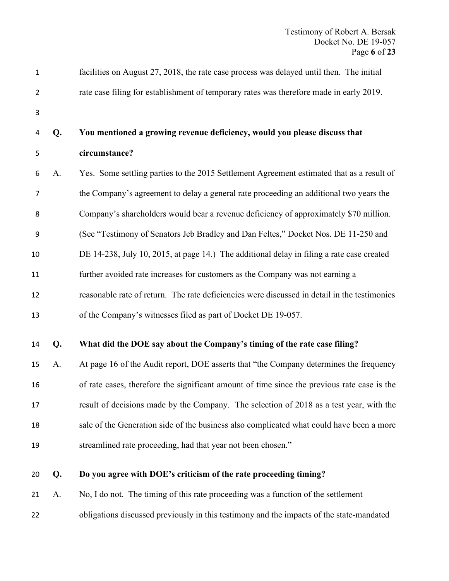| 1              |    | facilities on August 27, 2018, the rate case process was delayed until then. The initial     |
|----------------|----|----------------------------------------------------------------------------------------------|
| $\overline{2}$ |    | rate case filing for establishment of temporary rates was therefore made in early 2019.      |
| 3              |    |                                                                                              |
| 4              | Q. | You mentioned a growing revenue deficiency, would you please discuss that                    |
| 5              |    | circumstance?                                                                                |
| 6              | A. | Yes. Some settling parties to the 2015 Settlement Agreement estimated that as a result of    |
| 7              |    | the Company's agreement to delay a general rate proceeding an additional two years the       |
| 8              |    | Company's shareholders would bear a revenue deficiency of approximately \$70 million.        |
| 9              |    | (See "Testimony of Senators Jeb Bradley and Dan Feltes," Docket Nos. DE 11-250 and           |
| 10             |    | DE 14-238, July 10, 2015, at page 14.) The additional delay in filing a rate case created    |
| 11             |    | further avoided rate increases for customers as the Company was not earning a                |
| 12             |    | reasonable rate of return. The rate deficiencies were discussed in detail in the testimonies |
| 13             |    | of the Company's witnesses filed as part of Docket DE 19-057.                                |
| 14             | Q. | What did the DOE say about the Company's timing of the rate case filing?                     |
| 15             | A. | At page 16 of the Audit report, DOE asserts that "the Company determines the frequency       |
| 16             |    | of rate cases, therefore the significant amount of time since the previous rate case is the  |
| 17             |    | result of decisions made by the Company. The selection of 2018 as a test year, with the      |
| 18             |    | sale of the Generation side of the business also complicated what could have been a more     |
| 19             |    | streamlined rate proceeding, had that year not been chosen."                                 |
| 20             | Q. | Do you agree with DOE's criticism of the rate proceeding timing?                             |
| 21             | A. | No, I do not. The timing of this rate proceeding was a function of the settlement            |

obligations discussed previously in this testimony and the impacts of the state-mandated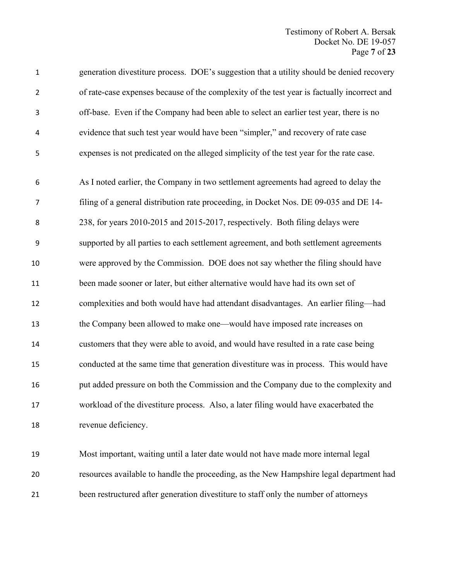| $\mathbf 1$    | generation divestiture process. DOE's suggestion that a utility should be denied recovery   |
|----------------|---------------------------------------------------------------------------------------------|
| $\overline{2}$ | of rate-case expenses because of the complexity of the test year is factually incorrect and |
| 3              | off-base. Even if the Company had been able to select an earlier test year, there is no     |
| 4              | evidence that such test year would have been "simpler," and recovery of rate case           |
| 5              | expenses is not predicated on the alleged simplicity of the test year for the rate case.    |
| 6              | As I noted earlier, the Company in two settlement agreements had agreed to delay the        |
| $\overline{7}$ | filing of a general distribution rate proceeding, in Docket Nos. DE 09-035 and DE 14-       |
| 8              | 238, for years 2010-2015 and 2015-2017, respectively. Both filing delays were               |
| 9              | supported by all parties to each settlement agreement, and both settlement agreements       |
| 10             | were approved by the Commission. DOE does not say whether the filing should have            |
| 11             | been made sooner or later, but either alternative would have had its own set of             |
| 12             | complexities and both would have had attendant disadvantages. An earlier filing-had         |
| 13             | the Company been allowed to make one—would have imposed rate increases on                   |
| 14             | customers that they were able to avoid, and would have resulted in a rate case being        |
| 15             | conducted at the same time that generation divestiture was in process. This would have      |
| 16             | put added pressure on both the Commission and the Company due to the complexity and         |
| 17             | workload of the divestiture process. Also, a later filing would have exacerbated the        |
| 18             | revenue deficiency.                                                                         |
| 19             | Most important, waiting until a later date would not have made more internal legal          |

resources available to handle the proceeding, as the New Hampshire legal department had

been restructured after generation divestiture to staff only the number of attorneys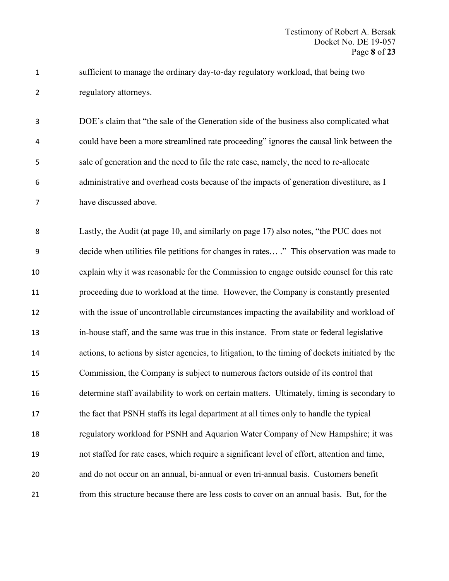sufficient to manage the ordinary day-to-day regulatory workload, that being two regulatory attorneys.

 DOE's claim that "the sale of the Generation side of the business also complicated what could have been a more streamlined rate proceeding" ignores the causal link between the sale of generation and the need to file the rate case, namely, the need to re-allocate administrative and overhead costs because of the impacts of generation divestiture, as I have discussed above.

 Lastly, the Audit (at page 10, and similarly on page 17) also notes, "the PUC does not decide when utilities file petitions for changes in rates… ." This observation was made to explain why it was reasonable for the Commission to engage outside counsel for this rate proceeding due to workload at the time. However, the Company is constantly presented with the issue of uncontrollable circumstances impacting the availability and workload of in-house staff, and the same was true in this instance. From state or federal legislative actions, to actions by sister agencies, to litigation, to the timing of dockets initiated by the Commission, the Company is subject to numerous factors outside of its control that determine staff availability to work on certain matters. Ultimately, timing is secondary to the fact that PSNH staffs its legal department at all times only to handle the typical regulatory workload for PSNH and Aquarion Water Company of New Hampshire; it was not staffed for rate cases, which require a significant level of effort, attention and time, and do not occur on an annual, bi-annual or even tri-annual basis. Customers benefit from this structure because there are less costs to cover on an annual basis. But, for the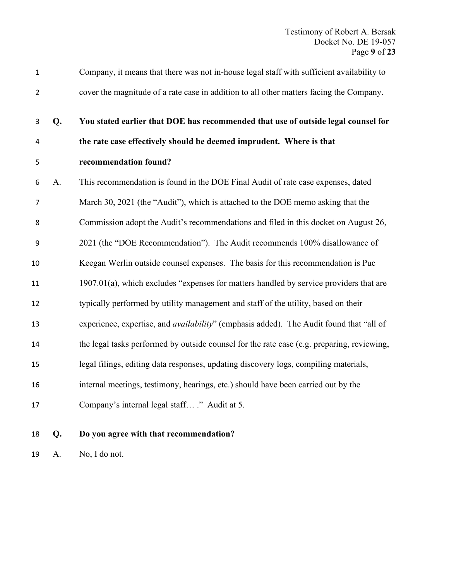| $\mathbf 1$    |    | Company, it means that there was not in-house legal staff with sufficient availability to       |
|----------------|----|-------------------------------------------------------------------------------------------------|
| $\overline{2}$ |    | cover the magnitude of a rate case in addition to all other matters facing the Company.         |
| 3              | Q. | You stated earlier that DOE has recommended that use of outside legal counsel for               |
| $\overline{4}$ |    | the rate case effectively should be deemed imprudent. Where is that                             |
| 5              |    | recommendation found?                                                                           |
| 6              | A. | This recommendation is found in the DOE Final Audit of rate case expenses, dated                |
| $\overline{7}$ |    | March 30, 2021 (the "Audit"), which is attached to the DOE memo asking that the                 |
| 8              |    | Commission adopt the Audit's recommendations and filed in this docket on August 26,             |
| 9              |    | 2021 (the "DOE Recommendation"). The Audit recommends 100% disallowance of                      |
| 10             |    | Keegan Werlin outside counsel expenses. The basis for this recommendation is Puc                |
| 11             |    | 1907.01(a), which excludes "expenses for matters handled by service providers that are          |
| 12             |    | typically performed by utility management and staff of the utility, based on their              |
| 13             |    | experience, expertise, and <i>availability</i> " (emphasis added). The Audit found that "all of |
| 14             |    | the legal tasks performed by outside counsel for the rate case (e.g. preparing, reviewing,      |
| 15             |    | legal filings, editing data responses, updating discovery logs, compiling materials,            |
| 16             |    | internal meetings, testimony, hearings, etc.) should have been carried out by the               |
| 17             |    | Company's internal legal staff ." Audit at 5.                                                   |
|                |    |                                                                                                 |

**Q. Do you agree with that recommendation?**

A. No, I do not.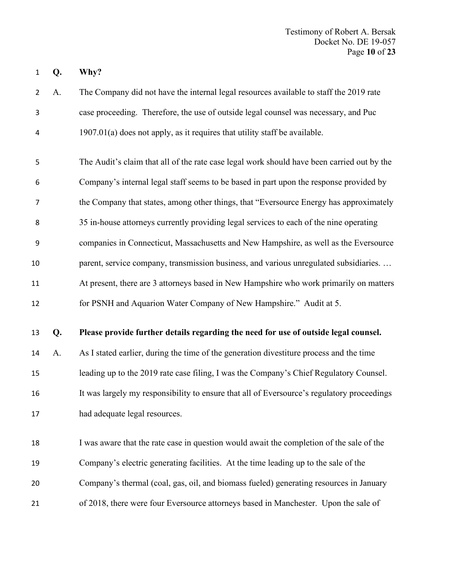**Q. Why?**

 A. The Company did not have the internal legal resources available to staff the 2019 rate case proceeding. Therefore, the use of outside legal counsel was necessary, and Puc 1907.01(a) does not apply, as it requires that utility staff be available.

 The Audit's claim that all of the rate case legal work should have been carried out by the Company's internal legal staff seems to be based in part upon the response provided by the Company that states, among other things, that "Eversource Energy has approximately 35 in-house attorneys currently providing legal services to each of the nine operating companies in Connecticut, Massachusetts and New Hampshire, as well as the Eversource 10 parent, service company, transmission business, and various unregulated subsidiaries. ... At present, there are 3 attorneys based in New Hampshire who work primarily on matters for PSNH and Aquarion Water Company of New Hampshire." Audit at 5.

#### **Q. Please provide further details regarding the need for use of outside legal counsel.**

 A. As I stated earlier, during the time of the generation divestiture process and the time leading up to the 2019 rate case filing, I was the Company's Chief Regulatory Counsel. It was largely my responsibility to ensure that all of Eversource's regulatory proceedings had adequate legal resources.

 I was aware that the rate case in question would await the completion of the sale of the Company's electric generating facilities. At the time leading up to the sale of the Company's thermal (coal, gas, oil, and biomass fueled) generating resources in January of 2018, there were four Eversource attorneys based in Manchester. Upon the sale of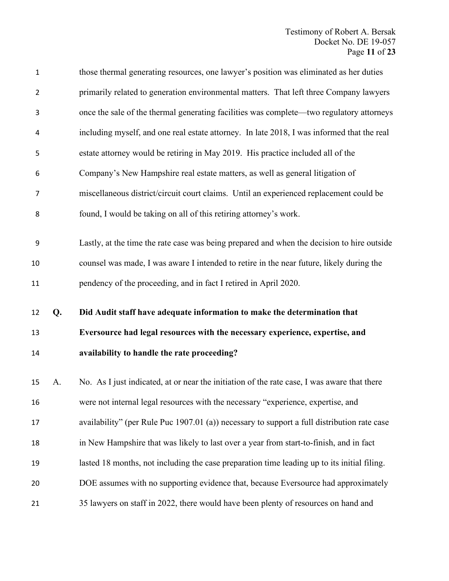| $\mathbf 1$    |    | those thermal generating resources, one lawyer's position was eliminated as her duties      |
|----------------|----|---------------------------------------------------------------------------------------------|
| $\overline{2}$ |    | primarily related to generation environmental matters. That left three Company lawyers      |
| 3              |    | once the sale of the thermal generating facilities was complete-two regulatory attorneys    |
| 4              |    | including myself, and one real estate attorney. In late 2018, I was informed that the real  |
| 5              |    | estate attorney would be retiring in May 2019. His practice included all of the             |
| 6              |    | Company's New Hampshire real estate matters, as well as general litigation of               |
| 7              |    | miscellaneous district/circuit court claims. Until an experienced replacement could be      |
| 8              |    | found, I would be taking on all of this retiring attorney's work.                           |
|                |    |                                                                                             |
| 9              |    | Lastly, at the time the rate case was being prepared and when the decision to hire outside  |
| 10             |    | counsel was made, I was aware I intended to retire in the near future, likely during the    |
| 11             |    | pendency of the proceeding, and in fact I retired in April 2020.                            |
|                |    |                                                                                             |
|                |    |                                                                                             |
| 12             | Q. | Did Audit staff have adequate information to make the determination that                    |
| 13             |    | Eversource had legal resources with the necessary experience, expertise, and                |
| 14             |    | availability to handle the rate proceeding?                                                 |
| 15             | A. | No. As I just indicated, at or near the initiation of the rate case, I was aware that there |
| 16             |    | were not internal legal resources with the necessary "experience, expertise, and            |
| 17             |    | availability" (per Rule Puc 1907.01 (a)) necessary to support a full distribution rate case |
| 18             |    | in New Hampshire that was likely to last over a year from start-to-finish, and in fact      |
| 19             |    | lasted 18 months, not including the case preparation time leading up to its initial filing. |
| 20             |    | DOE assumes with no supporting evidence that, because Eversource had approximately          |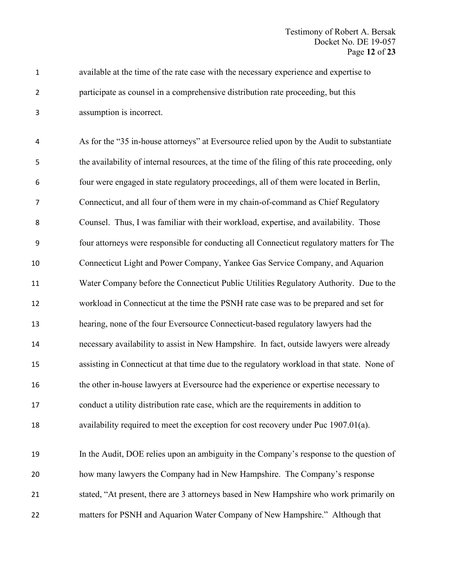available at the time of the rate case with the necessary experience and expertise to participate as counsel in a comprehensive distribution rate proceeding, but this assumption is incorrect.

 As for the "35 in-house attorneys" at Eversource relied upon by the Audit to substantiate the availability of internal resources, at the time of the filing of this rate proceeding, only four were engaged in state regulatory proceedings, all of them were located in Berlin, Connecticut, and all four of them were in my chain-of-command as Chief Regulatory Counsel. Thus, I was familiar with their workload, expertise, and availability. Those four attorneys were responsible for conducting all Connecticut regulatory matters for The Connecticut Light and Power Company, Yankee Gas Service Company, and Aquarion Water Company before the Connecticut Public Utilities Regulatory Authority. Due to the workload in Connecticut at the time the PSNH rate case was to be prepared and set for hearing, none of the four Eversource Connecticut-based regulatory lawyers had the necessary availability to assist in New Hampshire. In fact, outside lawyers were already assisting in Connecticut at that time due to the regulatory workload in that state. None of the other in-house lawyers at Eversource had the experience or expertise necessary to conduct a utility distribution rate case, which are the requirements in addition to availability required to meet the exception for cost recovery under Puc 1907.01(a). In the Audit, DOE relies upon an ambiguity in the Company's response to the question of how many lawyers the Company had in New Hampshire. The Company's response

 stated, "At present, there are 3 attorneys based in New Hampshire who work primarily on matters for PSNH and Aquarion Water Company of New Hampshire." Although that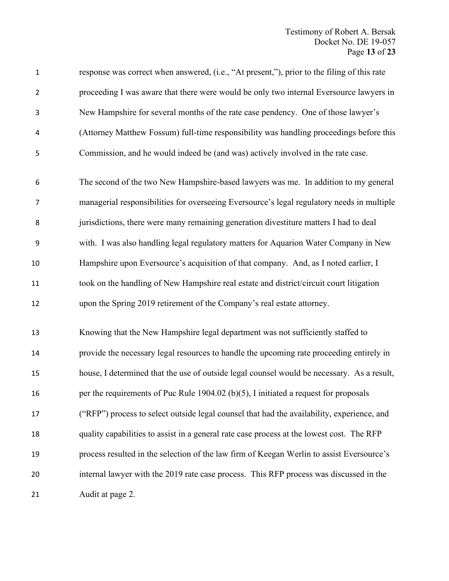| $\mathbf 1$    | response was correct when answered, (i.e., "At present,"), prior to the filing of this rate |
|----------------|---------------------------------------------------------------------------------------------|
| $\overline{2}$ | proceeding I was aware that there were would be only two internal Eversource lawyers in     |
| 3              | New Hampshire for several months of the rate case pendency. One of those lawyer's           |
| 4              | (Attorney Matthew Fossum) full-time responsibility was handling proceedings before this     |
| 5              | Commission, and he would indeed be (and was) actively involved in the rate case.            |
| 6              | The second of the two New Hampshire-based lawyers was me. In addition to my general         |
| $\overline{7}$ | managerial responsibilities for overseeing Eversource's legal regulatory needs in multiple  |
| 8              | jurisdictions, there were many remaining generation divestiture matters I had to deal       |
| 9              | with. I was also handling legal regulatory matters for Aquarion Water Company in New        |
| 10             | Hampshire upon Eversource's acquisition of that company. And, as I noted earlier, I         |
| 11             | took on the handling of New Hampshire real estate and district/circuit court litigation     |
| 12             | upon the Spring 2019 retirement of the Company's real estate attorney.                      |
| 13             | Knowing that the New Hampshire legal department was not sufficiently staffed to             |
| 14             | provide the necessary legal resources to handle the upcoming rate proceeding entirely in    |
| 15             | house, I determined that the use of outside legal counsel would be necessary. As a result,  |
| 16             | per the requirements of Puc Rule 1904.02 (b)(5), I initiated a request for proposals        |
| 17             | ("RFP") process to select outside legal counsel that had the availability, experience, and  |
| 18             | quality capabilities to assist in a general rate case process at the lowest cost. The RFP   |
| 19             | process resulted in the selection of the law firm of Keegan Werlin to assist Eversource's   |
| 20             | internal lawyer with the 2019 rate case process. This RFP process was discussed in the      |
| 21             | Audit at page 2.                                                                            |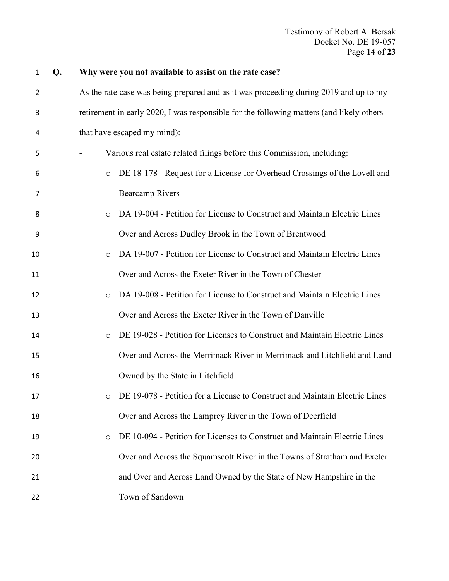| $\mathbf{1}$ | Q. | Why were you not available to assist on the rate case?                                   |
|--------------|----|------------------------------------------------------------------------------------------|
| 2            |    | As the rate case was being prepared and as it was proceeding during 2019 and up to my    |
| 3            |    | retirement in early 2020, I was responsible for the following matters (and likely others |
| 4            |    | that have escaped my mind):                                                              |
| 5            |    | Various real estate related filings before this Commission, including:                   |
| 6            |    | DE 18-178 - Request for a License for Overhead Crossings of the Lovell and<br>$\circ$    |
| 7            |    | <b>Bearcamp Rivers</b>                                                                   |
| 8            |    | DA 19-004 - Petition for License to Construct and Maintain Electric Lines<br>$\circ$     |
| 9            |    | Over and Across Dudley Brook in the Town of Brentwood                                    |
| 10           |    | DA 19-007 - Petition for License to Construct and Maintain Electric Lines<br>$\circ$     |
| 11           |    | Over and Across the Exeter River in the Town of Chester                                  |
| 12           |    | DA 19-008 - Petition for License to Construct and Maintain Electric Lines<br>$\circ$     |
| 13           |    | Over and Across the Exeter River in the Town of Danville                                 |
| 14           |    | DE 19-028 - Petition for Licenses to Construct and Maintain Electric Lines<br>$\circ$    |
| 15           |    | Over and Across the Merrimack River in Merrimack and Litchfield and Land                 |
| 16           |    | Owned by the State in Litchfield                                                         |
| 17           |    | o DE 19-078 - Petition for a License to Construct and Maintain Electric Lines            |
| 18           |    | Over and Across the Lamprey River in the Town of Deerfield                               |
| 19           |    | DE 10-094 - Petition for Licenses to Construct and Maintain Electric Lines<br>$\circ$    |
| 20           |    | Over and Across the Squamscott River in the Towns of Stratham and Exeter                 |
| 21           |    | and Over and Across Land Owned by the State of New Hampshire in the                      |
| 22           |    | Town of Sandown                                                                          |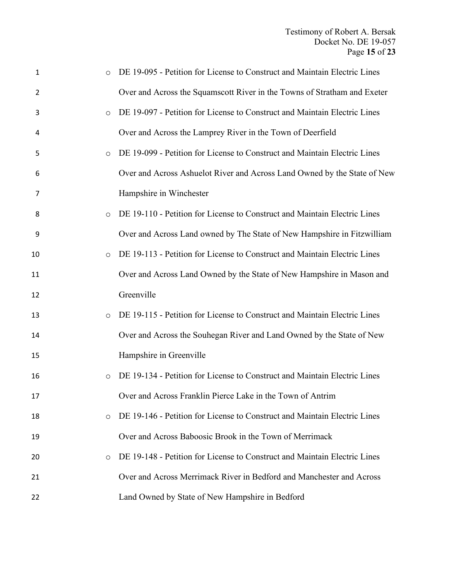| $\mathbf{1}$   | DE 19-095 - Petition for License to Construct and Maintain Electric Lines            |
|----------------|--------------------------------------------------------------------------------------|
| $\overline{2}$ | Over and Across the Squamscott River in the Towns of Stratham and Exeter             |
| 3              | DE 19-097 - Petition for License to Construct and Maintain Electric Lines<br>$\circ$ |
| 4              | Over and Across the Lamprey River in the Town of Deerfield                           |
| 5              | DE 19-099 - Petition for License to Construct and Maintain Electric Lines<br>$\circ$ |
| 6              | Over and Across Ashuelot River and Across Land Owned by the State of New             |
| 7              | Hampshire in Winchester                                                              |
| 8              | DE 19-110 - Petition for License to Construct and Maintain Electric Lines<br>$\circ$ |
| 9              | Over and Across Land owned by The State of New Hampshire in Fitzwilliam              |
| 10             | DE 19-113 - Petition for License to Construct and Maintain Electric Lines<br>$\circ$ |
| 11             | Over and Across Land Owned by the State of New Hampshire in Mason and                |
| 12             | Greenville                                                                           |
| 13             | DE 19-115 - Petition for License to Construct and Maintain Electric Lines<br>$\circ$ |
| 14             | Over and Across the Souhegan River and Land Owned by the State of New                |
| 15             | Hampshire in Greenville                                                              |
| 16             | DE 19-134 - Petition for License to Construct and Maintain Electric Lines<br>$\circ$ |
| 17             | Over and Across Franklin Pierce Lake in the Town of Antrim                           |
| 18             | DE 19-146 - Petition for License to Construct and Maintain Electric Lines<br>$\circ$ |
| 19             | Over and Across Baboosic Brook in the Town of Merrimack                              |
| 20             | DE 19-148 - Petition for License to Construct and Maintain Electric Lines<br>$\circ$ |
| 21             | Over and Across Merrimack River in Bedford and Manchester and Across                 |
| 22             | Land Owned by State of New Hampshire in Bedford                                      |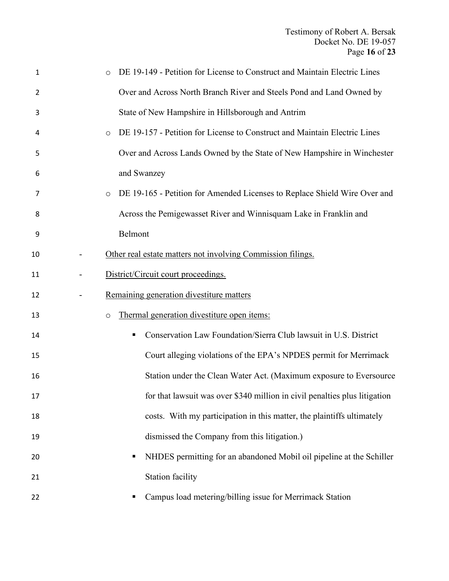| $\mathbf{1}$   | DE 19-149 - Petition for License to Construct and Maintain Electric Lines            |
|----------------|--------------------------------------------------------------------------------------|
| $\overline{2}$ | Over and Across North Branch River and Steels Pond and Land Owned by                 |
| 3              | State of New Hampshire in Hillsborough and Antrim                                    |
| 4              | DE 19-157 - Petition for License to Construct and Maintain Electric Lines<br>$\circ$ |
| 5              | Over and Across Lands Owned by the State of New Hampshire in Winchester              |
| 6              | and Swanzey                                                                          |
| 7              | DE 19-165 - Petition for Amended Licenses to Replace Shield Wire Over and<br>$\circ$ |
| 8              | Across the Pemigewasset River and Winnisquam Lake in Franklin and                    |
| 9              | Belmont                                                                              |
| 10             | Other real estate matters not involving Commission filings.                          |
| 11             | District/Circuit court proceedings.                                                  |
| 12             | Remaining generation divestiture matters                                             |
| 13             | Thermal generation divestiture open items:<br>$\circ$                                |
| 14             | Conservation Law Foundation/Sierra Club lawsuit in U.S. District<br>п                |
| 15             | Court alleging violations of the EPA's NPDES permit for Merrimack                    |
| 16             | Station under the Clean Water Act. (Maximum exposure to Eversource                   |
| 17             | for that lawsuit was over \$340 million in civil penalties plus litigation           |
| 18             | costs. With my participation in this matter, the plaintiffs ultimately               |
| 19             | dismissed the Company from this litigation.)                                         |
| 20             | NHDES permitting for an abandoned Mobil oil pipeline at the Schiller                 |
| 21             | <b>Station facility</b>                                                              |
| 22             | Campus load metering/billing issue for Merrimack Station                             |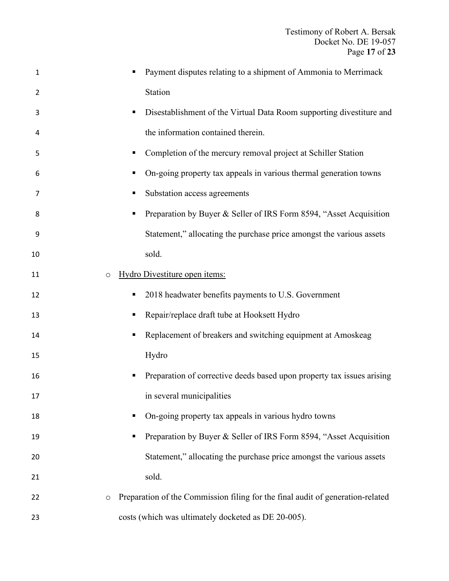| 1  | Payment disputes relating to a shipment of Ammonia to Merrimack                     |
|----|-------------------------------------------------------------------------------------|
| 2  | Station                                                                             |
| 3  | Disestablishment of the Virtual Data Room supporting divestiture and<br>п           |
| 4  | the information contained therein.                                                  |
| 5  | Completion of the mercury removal project at Schiller Station<br>ш                  |
| 6  | On-going property tax appeals in various thermal generation towns<br>п              |
| 7  | Substation access agreements<br>п                                                   |
| 8  | Preparation by Buyer & Seller of IRS Form 8594, "Asset Acquisition                  |
| 9  | Statement," allocating the purchase price amongst the various assets                |
| 10 | sold.                                                                               |
| 11 | Hydro Divestiture open items:<br>$\circ$                                            |
| 12 | 2018 headwater benefits payments to U.S. Government<br>п                            |
| 13 | Repair/replace draft tube at Hooksett Hydro<br>п                                    |
| 14 | Replacement of breakers and switching equipment at Amoskeag                         |
| 15 | Hydro                                                                               |
| 16 | Preparation of corrective deeds based upon property tax issues arising<br>п         |
| 17 | in several municipalities                                                           |
| 18 | On-going property tax appeals in various hydro towns<br>п                           |
| 19 | Preparation by Buyer & Seller of IRS Form 8594, "Asset Acquisition                  |
| 20 | Statement," allocating the purchase price amongst the various assets                |
| 21 | sold.                                                                               |
| 22 | Preparation of the Commission filing for the final audit of generation-related<br>O |
| 23 | costs (which was ultimately docketed as DE 20-005).                                 |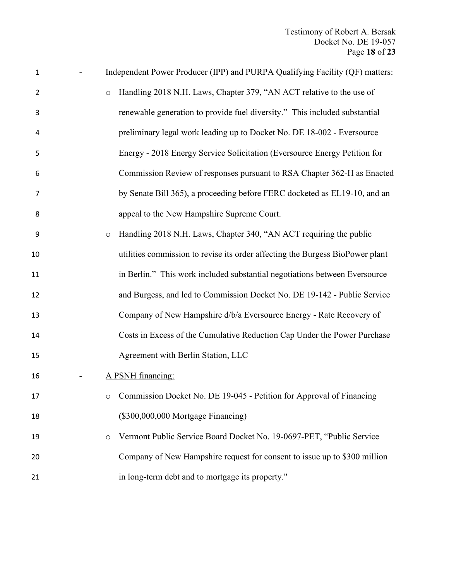Testimony of Robert A. Bersak Docket No. DE 19-057 Page **18** of **23**

| 1              |         | Independent Power Producer (IPP) and PURPA Qualifying Facility (QF) matters:  |
|----------------|---------|-------------------------------------------------------------------------------|
| $\overline{2}$ | $\circ$ | Handling 2018 N.H. Laws, Chapter 379, "AN ACT relative to the use of          |
| 3              |         | renewable generation to provide fuel diversity." This included substantial    |
| 4              |         | preliminary legal work leading up to Docket No. DE 18-002 - Eversource        |
| 5              |         | Energy - 2018 Energy Service Solicitation (Eversource Energy Petition for     |
| 6              |         | Commission Review of responses pursuant to RSA Chapter 362-H as Enacted       |
| 7              |         | by Senate Bill 365), a proceeding before FERC docketed as EL19-10, and an     |
| 8              |         | appeal to the New Hampshire Supreme Court.                                    |
| 9              | $\circ$ | Handling 2018 N.H. Laws, Chapter 340, "AN ACT requiring the public            |
| 10             |         | utilities commission to revise its order affecting the Burgess BioPower plant |
| 11             |         | in Berlin." This work included substantial negotiations between Eversource    |
| 12             |         | and Burgess, and led to Commission Docket No. DE 19-142 - Public Service      |
| 13             |         | Company of New Hampshire d/b/a Eversource Energy - Rate Recovery of           |
| 14             |         | Costs in Excess of the Cumulative Reduction Cap Under the Power Purchase      |
| 15             |         | Agreement with Berlin Station, LLC                                            |
| 16             |         | A PSNH financing:                                                             |
| 17             | O       | Commission Docket No. DE 19-045 - Petition for Approval of Financing          |
| 18             |         | (\$300,000,000 Mortgage Financing)                                            |
| 19             | $\circ$ | Vermont Public Service Board Docket No. 19-0697-PET, "Public Service          |
| 20             |         | Company of New Hampshire request for consent to issue up to \$300 million     |
| 21             |         | in long-term debt and to mortgage its property."                              |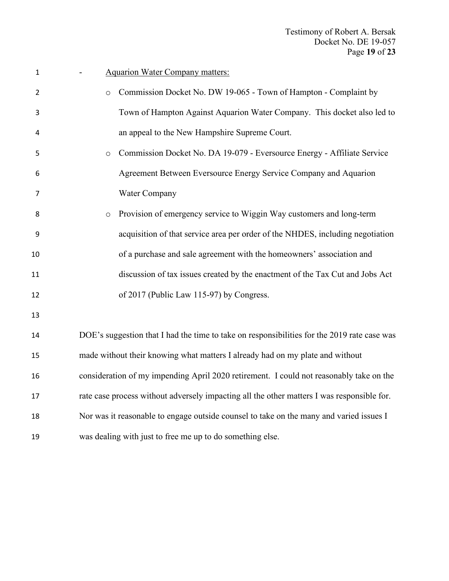| $\mathbf{1}$ | <b>Aquarion Water Company matters:</b>                                                      |
|--------------|---------------------------------------------------------------------------------------------|
| 2            | Commission Docket No. DW 19-065 - Town of Hampton - Complaint by<br>$\circ$                 |
| 3            | Town of Hampton Against Aquarion Water Company. This docket also led to                     |
| 4            | an appeal to the New Hampshire Supreme Court.                                               |
| 5            | Commission Docket No. DA 19-079 - Eversource Energy - Affiliate Service<br>$\circ$          |
| 6            | Agreement Between Eversource Energy Service Company and Aquarion                            |
| 7            | Water Company                                                                               |
| 8            | Provision of emergency service to Wiggin Way customers and long-term<br>$\circ$             |
| 9            | acquisition of that service area per order of the NHDES, including negotiation              |
| 10           | of a purchase and sale agreement with the homeowners' association and                       |
| 11           | discussion of tax issues created by the enactment of the Tax Cut and Jobs Act               |
| 12           | of 2017 (Public Law 115-97) by Congress.                                                    |
| 13           |                                                                                             |
| 14           | DOE's suggestion that I had the time to take on responsibilities for the 2019 rate case was |
| 15           | made without their knowing what matters I already had on my plate and without               |
| 16           | consideration of my impending April 2020 retirement. I could not reasonably take on the     |
| 17           | rate case process without adversely impacting all the other matters I was responsible for.  |
| 18           | Nor was it reasonable to engage outside counsel to take on the many and varied issues I     |
| 19           | was dealing with just to free me up to do something else.                                   |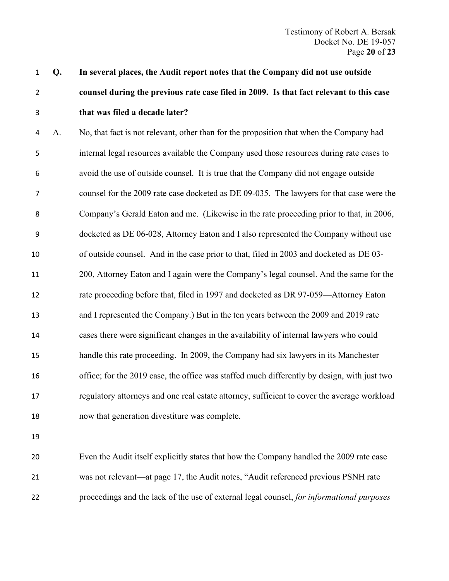# **Q. In several places, the Audit report notes that the Company did not use outside counsel during the previous rate case filed in 2009. Is that fact relevant to this case that was filed a decade later?**

 A. No, that fact is not relevant, other than for the proposition that when the Company had internal legal resources available the Company used those resources during rate cases to avoid the use of outside counsel. It is true that the Company did not engage outside counsel for the 2009 rate case docketed as DE 09-035. The lawyers for that case were the Company's Gerald Eaton and me. (Likewise in the rate proceeding prior to that, in 2006, docketed as DE 06-028, Attorney Eaton and I also represented the Company without use of outside counsel. And in the case prior to that, filed in 2003 and docketed as DE 03- 200, Attorney Eaton and I again were the Company's legal counsel. And the same for the rate proceeding before that, filed in 1997 and docketed as DR 97-059—Attorney Eaton and I represented the Company.) But in the ten years between the 2009 and 2019 rate cases there were significant changes in the availability of internal lawyers who could handle this rate proceeding. In 2009, the Company had six lawyers in its Manchester office; for the 2019 case, the office was staffed much differently by design, with just two regulatory attorneys and one real estate attorney, sufficient to cover the average workload now that generation divestiture was complete.

 Even the Audit itself explicitly states that how the Company handled the 2009 rate case was not relevant—at page 17, the Audit notes, "Audit referenced previous PSNH rate proceedings and the lack of the use of external legal counsel, *for informational purposes*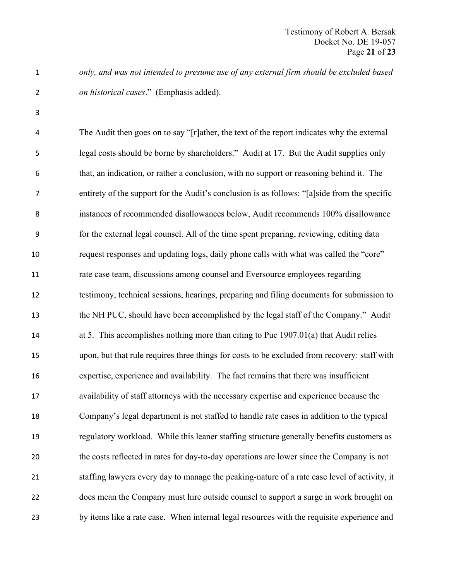*only, and was not intended to presume use of any external firm should be excluded based on historical cases*." (Emphasis added).

 The Audit then goes on to say "[r]ather, the text of the report indicates why the external legal costs should be borne by shareholders." Audit at 17. But the Audit supplies only that, an indication, or rather a conclusion, with no support or reasoning behind it. The entirety of the support for the Audit's conclusion is as follows: "[a]side from the specific instances of recommended disallowances below, Audit recommends 100% disallowance for the external legal counsel. All of the time spent preparing, reviewing, editing data request responses and updating logs, daily phone calls with what was called the "core" rate case team, discussions among counsel and Eversource employees regarding testimony, technical sessions, hearings, preparing and filing documents for submission to the NH PUC, should have been accomplished by the legal staff of the Company." Audit at 5. This accomplishes nothing more than citing to Puc 1907.01(a) that Audit relies upon, but that rule requires three things for costs to be excluded from recovery: staff with expertise, experience and availability. The fact remains that there was insufficient availability of staff attorneys with the necessary expertise and experience because the Company's legal department is not staffed to handle rate cases in addition to the typical regulatory workload. While this leaner staffing structure generally benefits customers as the costs reflected in rates for day-to-day operations are lower since the Company is not staffing lawyers every day to manage the peaking-nature of a rate case level of activity, it does mean the Company must hire outside counsel to support a surge in work brought on by items like a rate case. When internal legal resources with the requisite experience and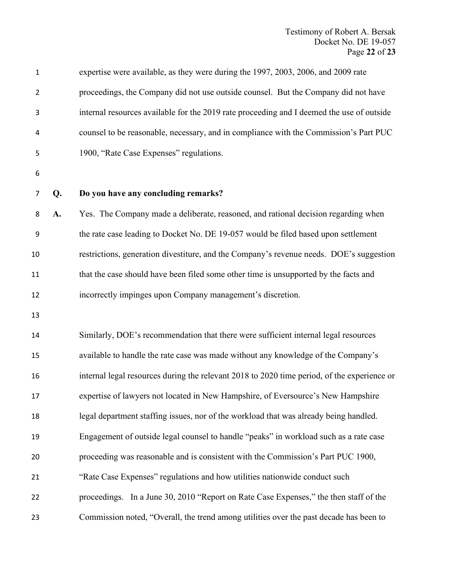| 1              |    | expertise were available, as they were during the 1997, 2003, 2006, and 2009 rate           |
|----------------|----|---------------------------------------------------------------------------------------------|
| $\overline{2}$ |    | proceedings, the Company did not use outside counsel. But the Company did not have          |
| 3              |    | internal resources available for the 2019 rate proceeding and I deemed the use of outside   |
| 4              |    | counsel to be reasonable, necessary, and in compliance with the Commission's Part PUC       |
| 5              |    | 1900, "Rate Case Expenses" regulations.                                                     |
| 6              |    |                                                                                             |
| 7              | Q. | Do you have any concluding remarks?                                                         |
| 8              | A. | Yes. The Company made a deliberate, reasoned, and rational decision regarding when          |
| 9              |    | the rate case leading to Docket No. DE 19-057 would be filed based upon settlement          |
| 10             |    | restrictions, generation divestiture, and the Company's revenue needs. DOE's suggestion     |
| 11             |    | that the case should have been filed some other time is unsupported by the facts and        |
| 12             |    | incorrectly impinges upon Company management's discretion.                                  |
| 13             |    |                                                                                             |
| 14             |    | Similarly, DOE's recommendation that there were sufficient internal legal resources         |
| 15             |    | available to handle the rate case was made without any knowledge of the Company's           |
| 16             |    | internal legal resources during the relevant 2018 to 2020 time period, of the experience or |
| 17             |    | expertise of lawyers not located in New Hampshire, of Eversource's New Hampshire            |
| 18             |    | legal department staffing issues, nor of the workload that was already being handled.       |
| 19             |    | Engagement of outside legal counsel to handle "peaks" in workload such as a rate case       |
| 20             |    | proceeding was reasonable and is consistent with the Commission's Part PUC 1900,            |
| 21             |    | "Rate Case Expenses" regulations and how utilities nationwide conduct such                  |
| 22             |    | proceedings. In a June 30, 2010 "Report on Rate Case Expenses," the then staff of the       |
| 23             |    | Commission noted, "Overall, the trend among utilities over the past decade has been to      |